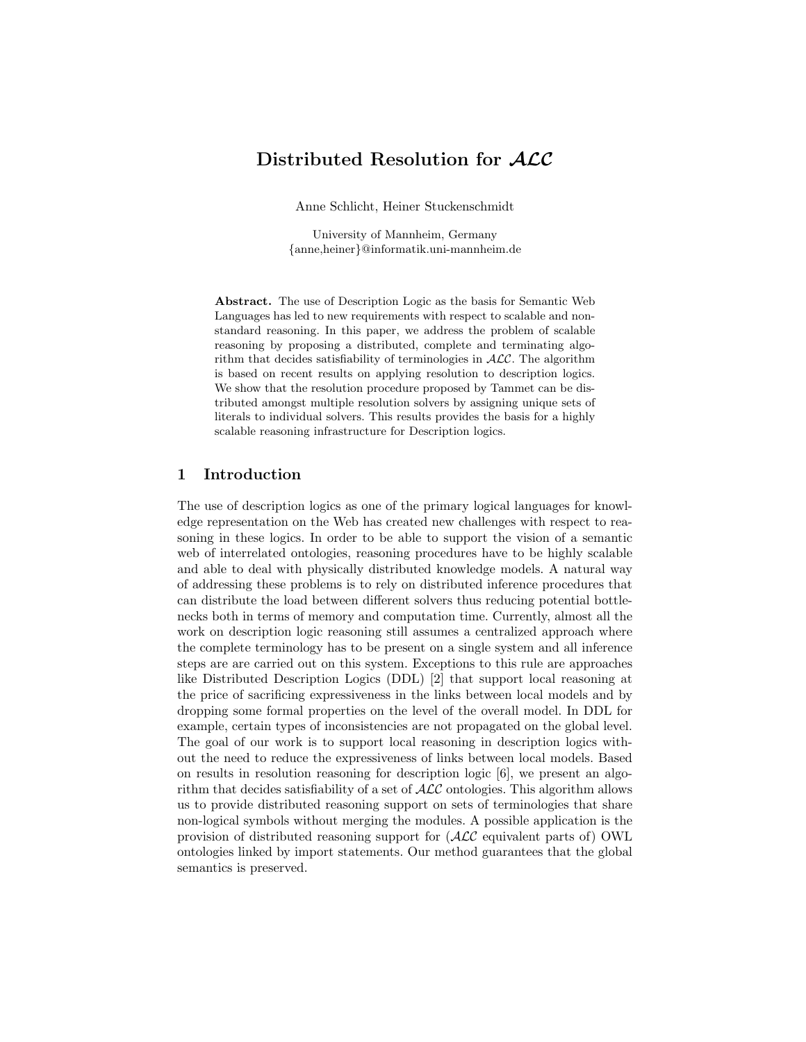# Distributed Resolution for  $ALC$

Anne Schlicht, Heiner Stuckenschmidt

University of Mannheim, Germany {anne,heiner}@informatik.uni-mannheim.de

Abstract. The use of Description Logic as the basis for Semantic Web Languages has led to new requirements with respect to scalable and nonstandard reasoning. In this paper, we address the problem of scalable reasoning by proposing a distributed, complete and terminating algorithm that decides satisfiability of terminologies in  $ALC$ . The algorithm is based on recent results on applying resolution to description logics. We show that the resolution procedure proposed by Tammet can be distributed amongst multiple resolution solvers by assigning unique sets of literals to individual solvers. This results provides the basis for a highly scalable reasoning infrastructure for Description logics.

# 1 Introduction

The use of description logics as one of the primary logical languages for knowledge representation on the Web has created new challenges with respect to reasoning in these logics. In order to be able to support the vision of a semantic web of interrelated ontologies, reasoning procedures have to be highly scalable and able to deal with physically distributed knowledge models. A natural way of addressing these problems is to rely on distributed inference procedures that can distribute the load between different solvers thus reducing potential bottlenecks both in terms of memory and computation time. Currently, almost all the work on description logic reasoning still assumes a centralized approach where the complete terminology has to be present on a single system and all inference steps are are carried out on this system. Exceptions to this rule are approaches like Distributed Description Logics (DDL) [2] that support local reasoning at the price of sacrificing expressiveness in the links between local models and by dropping some formal properties on the level of the overall model. In DDL for example, certain types of inconsistencies are not propagated on the global level. The goal of our work is to support local reasoning in description logics without the need to reduce the expressiveness of links between local models. Based on results in resolution reasoning for description logic [6], we present an algorithm that decides satisfiability of a set of  $\mathcal{ALC}$  ontologies. This algorithm allows us to provide distributed reasoning support on sets of terminologies that share non-logical symbols without merging the modules. A possible application is the provision of distributed reasoning support for (ALC equivalent parts of) OWL ontologies linked by import statements. Our method guarantees that the global semantics is preserved.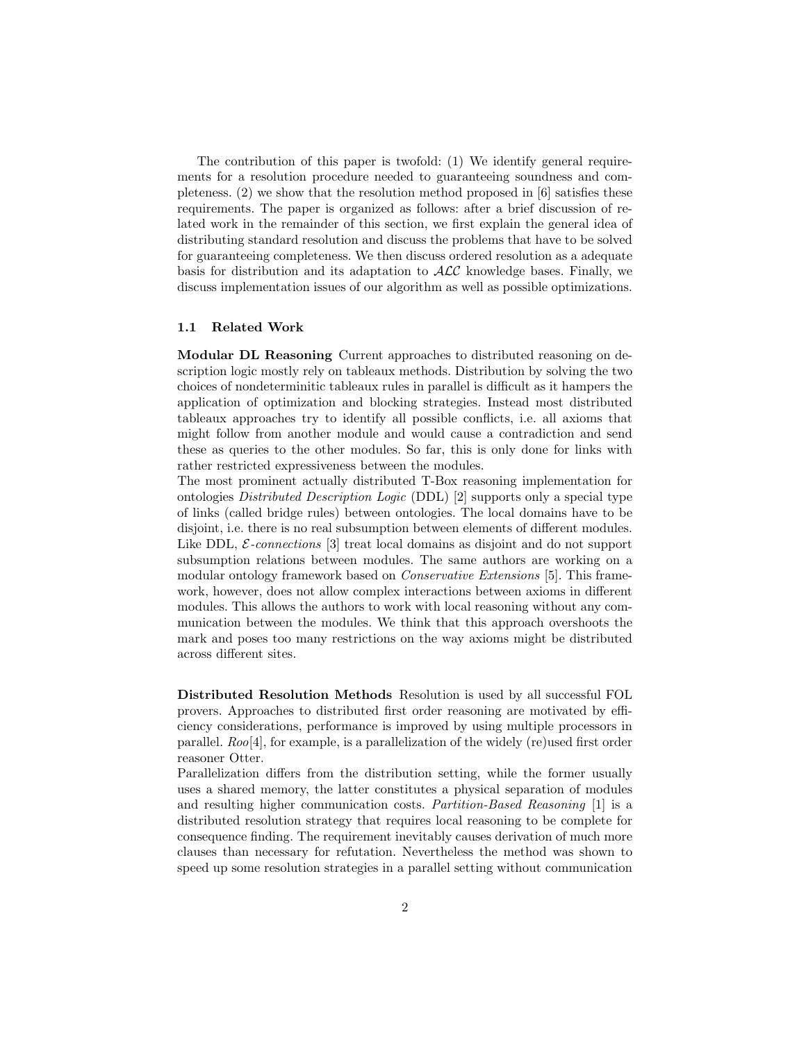The contribution of this paper is twofold: (1) We identify general requirements for a resolution procedure needed to guaranteeing soundness and completeness. (2) we show that the resolution method proposed in [6] satisfies these requirements. The paper is organized as follows: after a brief discussion of related work in the remainder of this section, we first explain the general idea of distributing standard resolution and discuss the problems that have to be solved for guaranteeing completeness. We then discuss ordered resolution as a adequate basis for distribution and its adaptation to  $\mathcal{ALC}$  knowledge bases. Finally, we discuss implementation issues of our algorithm as well as possible optimizations.

#### 1.1 Related Work

Modular DL Reasoning Current approaches to distributed reasoning on description logic mostly rely on tableaux methods. Distribution by solving the two choices of nondeterminitic tableaux rules in parallel is difficult as it hampers the application of optimization and blocking strategies. Instead most distributed tableaux approaches try to identify all possible conflicts, i.e. all axioms that might follow from another module and would cause a contradiction and send these as queries to the other modules. So far, this is only done for links with rather restricted expressiveness between the modules.

The most prominent actually distributed T-Box reasoning implementation for ontologies Distributed Description Logic (DDL) [2] supports only a special type of links (called bridge rules) between ontologies. The local domains have to be disjoint, i.e. there is no real subsumption between elements of different modules. Like DDL,  $\mathcal{E}\text{-}\text{connections}$  [3] treat local domains as disjoint and do not support subsumption relations between modules. The same authors are working on a modular ontology framework based on *Conservative Extensions* [5]. This framework, however, does not allow complex interactions between axioms in different modules. This allows the authors to work with local reasoning without any communication between the modules. We think that this approach overshoots the mark and poses too many restrictions on the way axioms might be distributed across different sites.

Distributed Resolution Methods Resolution is used by all successful FOL provers. Approaches to distributed first order reasoning are motivated by efficiency considerations, performance is improved by using multiple processors in parallel.  $Roo[4]$ , for example, is a parallelization of the widely (re)used first order reasoner Otter.

Parallelization differs from the distribution setting, while the former usually uses a shared memory, the latter constitutes a physical separation of modules and resulting higher communication costs. Partition-Based Reasoning [1] is a distributed resolution strategy that requires local reasoning to be complete for consequence finding. The requirement inevitably causes derivation of much more clauses than necessary for refutation. Nevertheless the method was shown to speed up some resolution strategies in a parallel setting without communication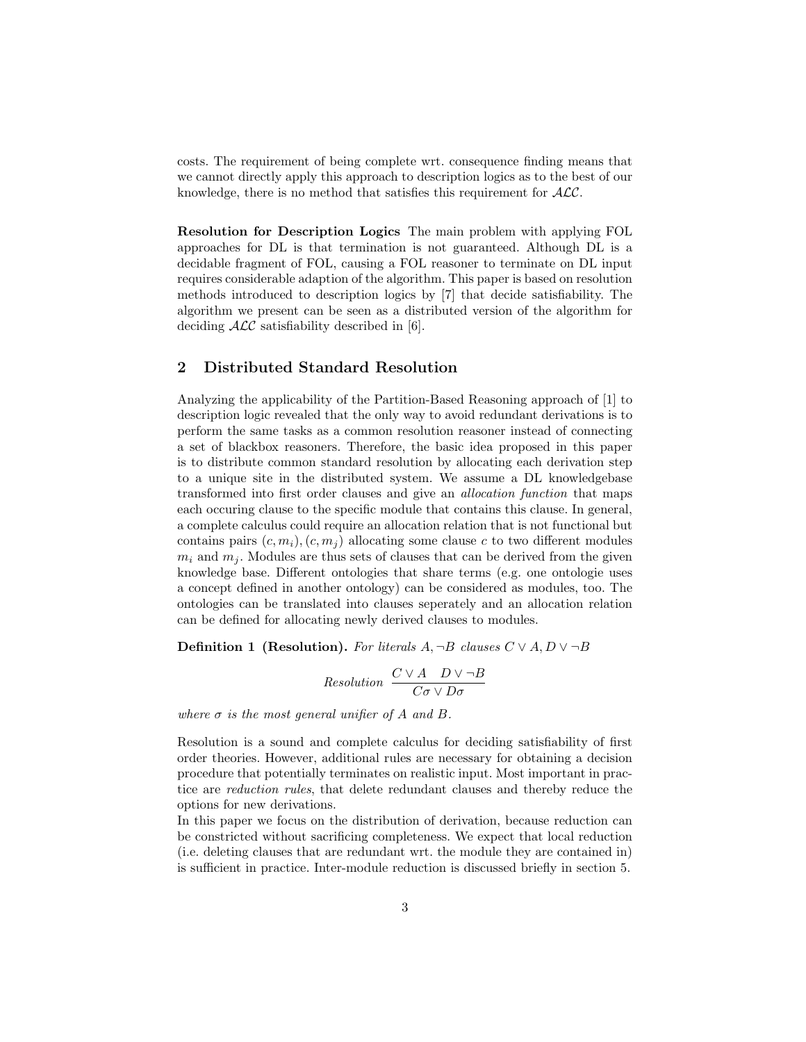costs. The requirement of being complete wrt. consequence finding means that we cannot directly apply this approach to description logics as to the best of our knowledge, there is no method that satisfies this requirement for  $ALC$ .

Resolution for Description Logics The main problem with applying FOL approaches for DL is that termination is not guaranteed. Although DL is a decidable fragment of FOL, causing a FOL reasoner to terminate on DL input requires considerable adaption of the algorithm. This paper is based on resolution methods introduced to description logics by [7] that decide satisfiability. The algorithm we present can be seen as a distributed version of the algorithm for deciding  $\mathcal{ALC}$  satisfiability described in [6].

# 2 Distributed Standard Resolution

Analyzing the applicability of the Partition-Based Reasoning approach of [1] to description logic revealed that the only way to avoid redundant derivations is to perform the same tasks as a common resolution reasoner instead of connecting a set of blackbox reasoners. Therefore, the basic idea proposed in this paper is to distribute common standard resolution by allocating each derivation step to a unique site in the distributed system. We assume a DL knowledgebase transformed into first order clauses and give an allocation function that maps each occuring clause to the specific module that contains this clause. In general, a complete calculus could require an allocation relation that is not functional but contains pairs  $(c, m_i), (c, m_j)$  allocating some clause c to two different modules  $m_i$  and  $m_j$ . Modules are thus sets of clauses that can be derived from the given knowledge base. Different ontologies that share terms (e.g. one ontologie uses a concept defined in another ontology) can be considered as modules, too. The ontologies can be translated into clauses seperately and an allocation relation can be defined for allocating newly derived clauses to modules.

**Definition 1 (Resolution).** For literals  $A, \neg B$  clauses  $C \vee A, D \vee \neg B$ 

Resolution 
$$
\frac{C \vee A \quad D \vee \neg B}{C \sigma \vee D \sigma}
$$

where  $\sigma$  is the most general unifier of A and B.

Resolution is a sound and complete calculus for deciding satisfiability of first order theories. However, additional rules are necessary for obtaining a decision procedure that potentially terminates on realistic input. Most important in practice are reduction rules, that delete redundant clauses and thereby reduce the options for new derivations.

In this paper we focus on the distribution of derivation, because reduction can be constricted without sacrificing completeness. We expect that local reduction (i.e. deleting clauses that are redundant wrt. the module they are contained in) is sufficient in practice. Inter-module reduction is discussed briefly in section 5.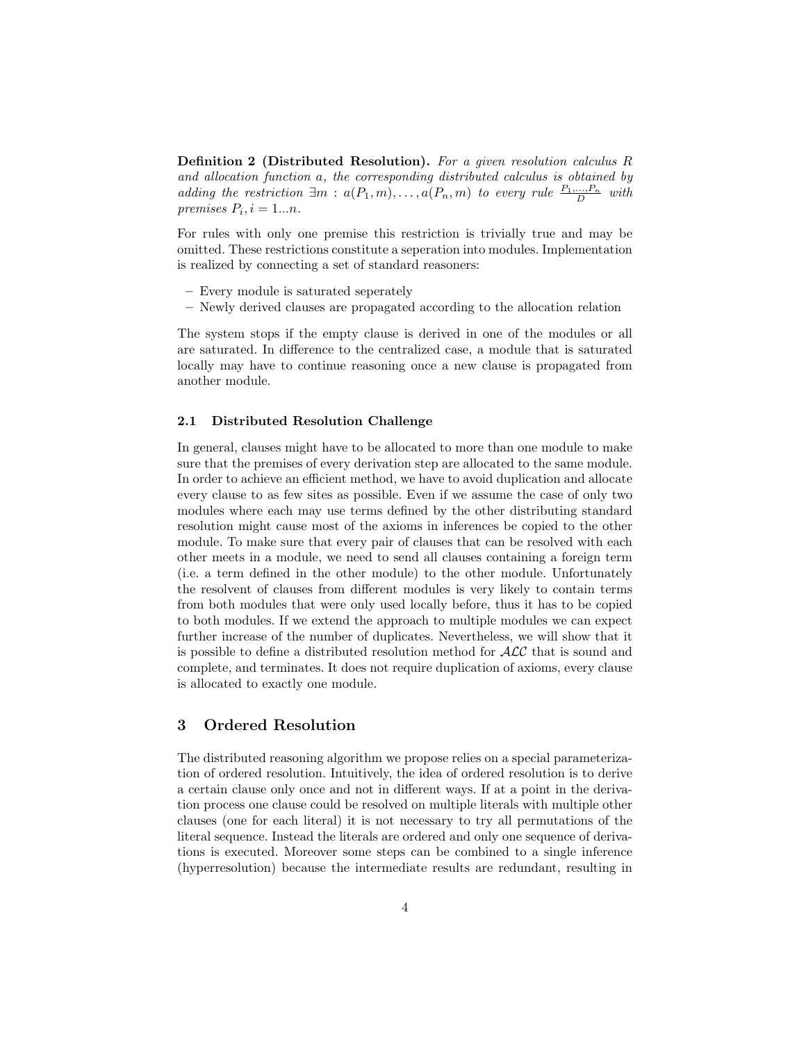Definition 2 (Distributed Resolution). For a given resolution calculus R and allocation function a, the corresponding distributed calculus is obtained by adding the restriction  $\exists m : a(P_1, m), \ldots, a(P_n, m)$  to every rule  $\frac{P_1, \ldots, P_n}{D}$  with premises  $P_i$ ,  $i = 1...n$ .

For rules with only one premise this restriction is trivially true and may be omitted. These restrictions constitute a seperation into modules. Implementation is realized by connecting a set of standard reasoners:

- Every module is saturated seperately
- Newly derived clauses are propagated according to the allocation relation

The system stops if the empty clause is derived in one of the modules or all are saturated. In difference to the centralized case, a module that is saturated locally may have to continue reasoning once a new clause is propagated from another module.

## 2.1 Distributed Resolution Challenge

In general, clauses might have to be allocated to more than one module to make sure that the premises of every derivation step are allocated to the same module. In order to achieve an efficient method, we have to avoid duplication and allocate every clause to as few sites as possible. Even if we assume the case of only two modules where each may use terms defined by the other distributing standard resolution might cause most of the axioms in inferences be copied to the other module. To make sure that every pair of clauses that can be resolved with each other meets in a module, we need to send all clauses containing a foreign term (i.e. a term defined in the other module) to the other module. Unfortunately the resolvent of clauses from different modules is very likely to contain terms from both modules that were only used locally before, thus it has to be copied to both modules. If we extend the approach to multiple modules we can expect further increase of the number of duplicates. Nevertheless, we will show that it is possible to define a distributed resolution method for ALC that is sound and complete, and terminates. It does not require duplication of axioms, every clause is allocated to exactly one module.

# 3 Ordered Resolution

The distributed reasoning algorithm we propose relies on a special parameterization of ordered resolution. Intuitively, the idea of ordered resolution is to derive a certain clause only once and not in different ways. If at a point in the derivation process one clause could be resolved on multiple literals with multiple other clauses (one for each literal) it is not necessary to try all permutations of the literal sequence. Instead the literals are ordered and only one sequence of derivations is executed. Moreover some steps can be combined to a single inference (hyperresolution) because the intermediate results are redundant, resulting in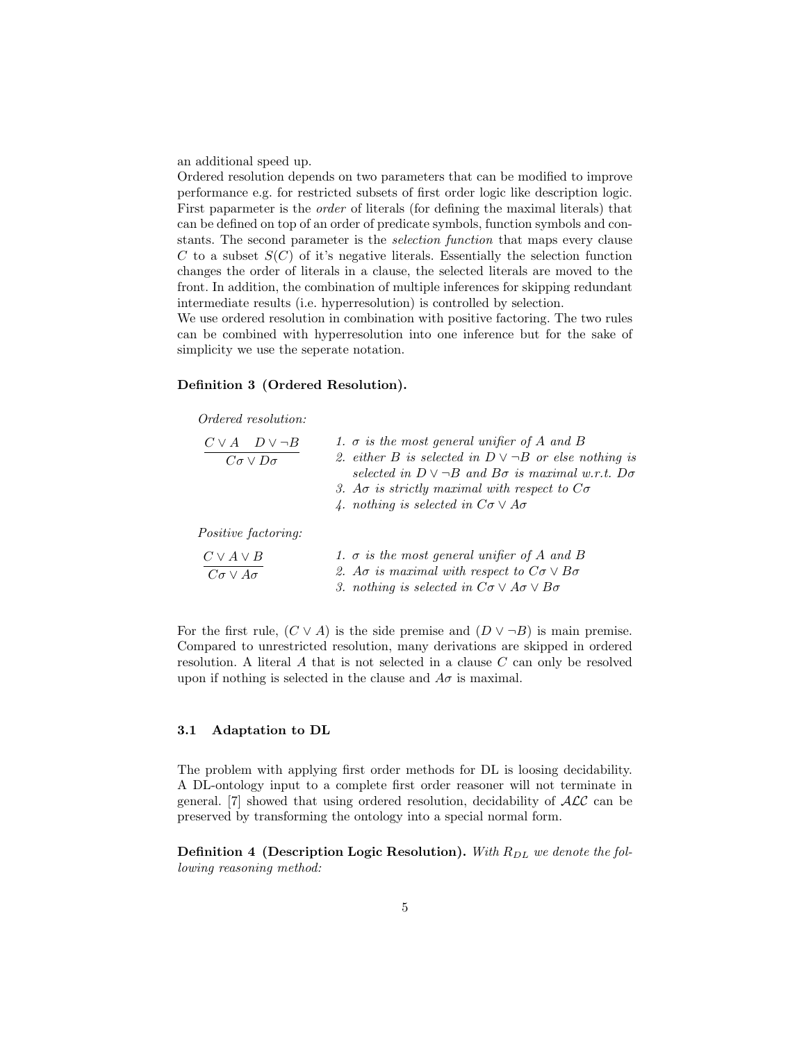an additional speed up.

Ordered resolution depends on two parameters that can be modified to improve performance e.g. for restricted subsets of first order logic like description logic. First paparmeter is the order of literals (for defining the maximal literals) that can be defined on top of an order of predicate symbols, function symbols and constants. The second parameter is the selection function that maps every clause C to a subset  $S(C)$  of it's negative literals. Essentially the selection function changes the order of literals in a clause, the selected literals are moved to the front. In addition, the combination of multiple inferences for skipping redundant intermediate results (i.e. hyperresolution) is controlled by selection.

We use ordered resolution in combination with positive factoring. The two rules can be combined with hyperresolution into one inference but for the sake of simplicity we use the seperate notation.

#### Definition 3 (Ordered Resolution).

Ordered resolution:

| $C \vee A$ $D \vee \neg B$<br>$C\sigma \vee D\sigma$ | 1. $\sigma$ is the most general unifier of A and B<br>2. either B is selected in $D \vee \neg B$ or else nothing is<br>selected in $D \vee \neg B$ and $B\sigma$ is maximal w.r.t. $D\sigma$<br>3. Ao is strictly maximal with respect to $C\sigma$<br>4. nothing is selected in $C\sigma \vee A\sigma$ |
|------------------------------------------------------|---------------------------------------------------------------------------------------------------------------------------------------------------------------------------------------------------------------------------------------------------------------------------------------------------------|
| <i>Positive factoring:</i>                           |                                                                                                                                                                                                                                                                                                         |
| $C \vee A \vee B$<br>$C\sigma \vee A\sigma$          | 1. $\sigma$ is the most general unifier of A and B<br>2. Ao is maximal with respect to $C\sigma \vee B\sigma$<br>3. nothing is selected in $C\sigma \vee A\sigma \vee B\sigma$                                                                                                                          |

For the first rule,  $(C \vee A)$  is the side premise and  $(D \vee \neg B)$  is main premise. Compared to unrestricted resolution, many derivations are skipped in ordered resolution. A literal A that is not selected in a clause C can only be resolved upon if nothing is selected in the clause and  $A\sigma$  is maximal.

#### 3.1 Adaptation to DL

The problem with applying first order methods for DL is loosing decidability. A DL-ontology input to a complete first order reasoner will not terminate in general. [7] showed that using ordered resolution, decidability of  $\mathcal{ALC}$  can be preserved by transforming the ontology into a special normal form.

**Definition 4 (Description Logic Resolution).** With  $R_{DL}$  we denote the following reasoning method: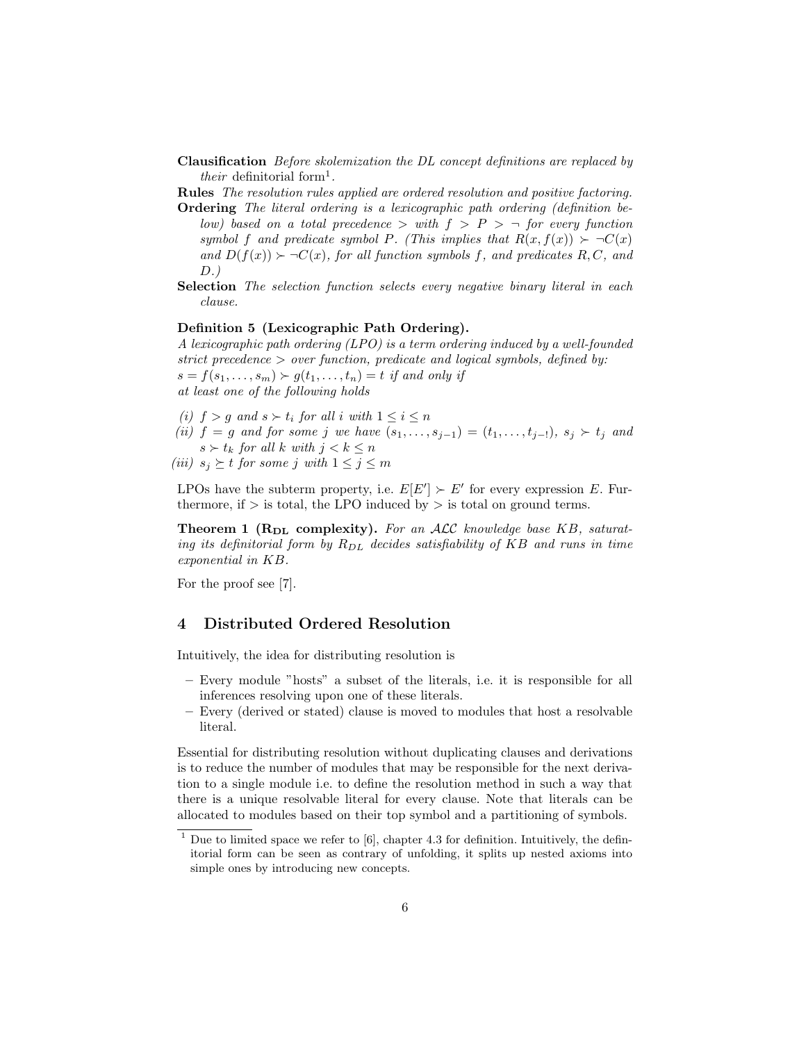- Clausification Before skolemization the DL concept definitions are replaced by their definitorial form<sup>1</sup>.
- Rules The resolution rules applied are ordered resolution and positive factoring.
- Ordering The literal ordering is a lexicographic path ordering (definition below) based on a total precedence  $>$  with  $f > P > \neg$  for every function symbol f and predicate symbol P. (This implies that  $R(x, f(x)) > \neg C(x)$ and  $D(f(x)) > \neg C(x)$ , for all function symbols f, and predicates R, C, and  $D.$ )
- Selection The selection function selects every negative binary literal in each clause.

#### Definition 5 (Lexicographic Path Ordering).

A lexicographic path ordering (LPO) is a term ordering induced by a well-founded strict precedence > over function, predicate and logical symbols, defined by:  $s = f(s_1, \ldots, s_m) \succ g(t_1, \ldots, t_n) = t$  if and only if at least one of the following holds

- (i)  $f > g$  and  $s > t_i$  for all i with  $1 \leq i \leq n$
- (ii)  $f = g$  and for some j we have  $(s_1, \ldots, s_{j-1}) = (t_1, \ldots, t_{j-1}), s_j \succ t_j$  and  $s \succ t_k$  for all k with  $j < k \leq n$

(iii)  $s_j \geq t$  for some j with  $1 \leq j \leq m$ 

LPOs have the subterm property, i.e.  $E[E'] \succ E'$  for every expression E. Furthermore, if  $>$  is total, the LPO induced by  $>$  is total on ground terms.

**Theorem 1 (** $R_{DL}$  **complexity).** For an ALC knowledge base KB, saturating its definitorial form by  $R_{DL}$  decides satisfiability of KB and runs in time exponential in KB.

For the proof see [7].

# 4 Distributed Ordered Resolution

Intuitively, the idea for distributing resolution is

- Every module "hosts" a subset of the literals, i.e. it is responsible for all inferences resolving upon one of these literals.
- Every (derived or stated) clause is moved to modules that host a resolvable literal.

Essential for distributing resolution without duplicating clauses and derivations is to reduce the number of modules that may be responsible for the next derivation to a single module i.e. to define the resolution method in such a way that there is a unique resolvable literal for every clause. Note that literals can be allocated to modules based on their top symbol and a partitioning of symbols.

 $1$  Due to limited space we refer to [6], chapter 4.3 for definition. Intuitively, the definitorial form can be seen as contrary of unfolding, it splits up nested axioms into simple ones by introducing new concepts.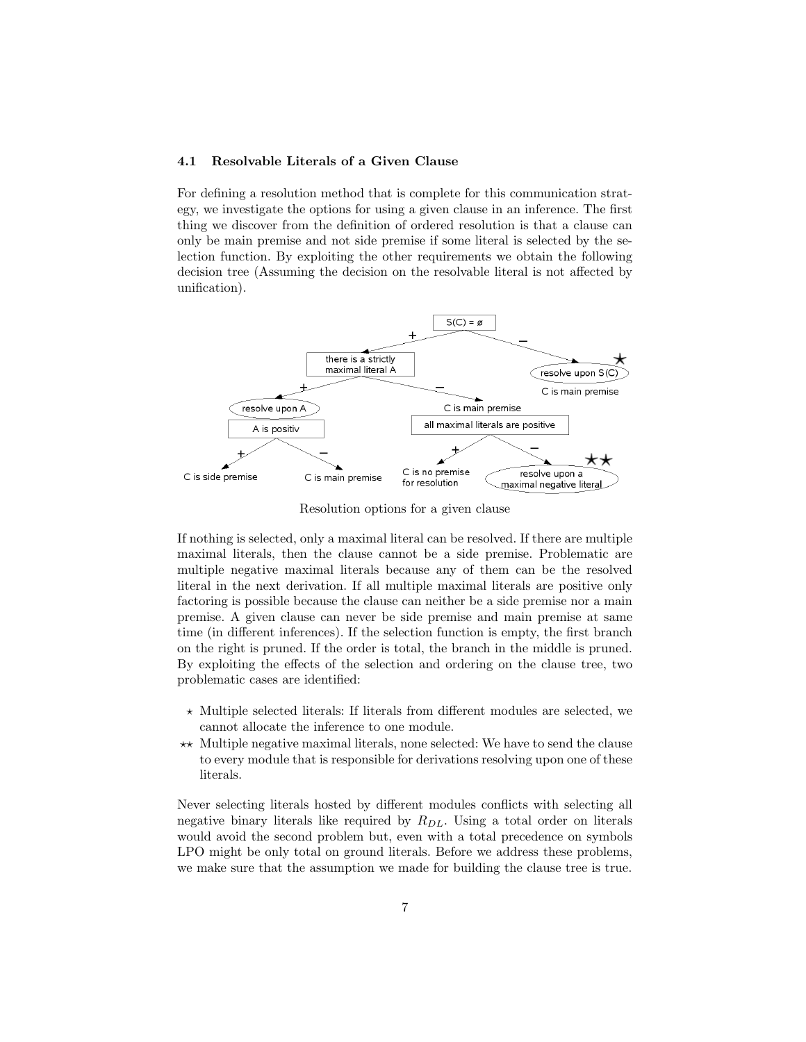## 4.1 Resolvable Literals of a Given Clause

For defining a resolution method that is complete for this communication strategy, we investigate the options for using a given clause in an inference. The first thing we discover from the definition of ordered resolution is that a clause can only be main premise and not side premise if some literal is selected by the selection function. By exploiting the other requirements we obtain the following decision tree (Assuming the decision on the resolvable literal is not affected by unification).



Resolution options for a given clause

If nothing is selected, only a maximal literal can be resolved. If there are multiple maximal literals, then the clause cannot be a side premise. Problematic are multiple negative maximal literals because any of them can be the resolved literal in the next derivation. If all multiple maximal literals are positive only factoring is possible because the clause can neither be a side premise nor a main premise. A given clause can never be side premise and main premise at same time (in different inferences). If the selection function is empty, the first branch on the right is pruned. If the order is total, the branch in the middle is pruned. By exploiting the effects of the selection and ordering on the clause tree, two problematic cases are identified:

- $\star$  Multiple selected literals: If literals from different modules are selected, we cannot allocate the inference to one module.
- $\star\star$  Multiple negative maximal literals, none selected: We have to send the clause to every module that is responsible for derivations resolving upon one of these literals.

Never selecting literals hosted by different modules conflicts with selecting all negative binary literals like required by  $R_{DL}$ . Using a total order on literals would avoid the second problem but, even with a total precedence on symbols LPO might be only total on ground literals. Before we address these problems, we make sure that the assumption we made for building the clause tree is true.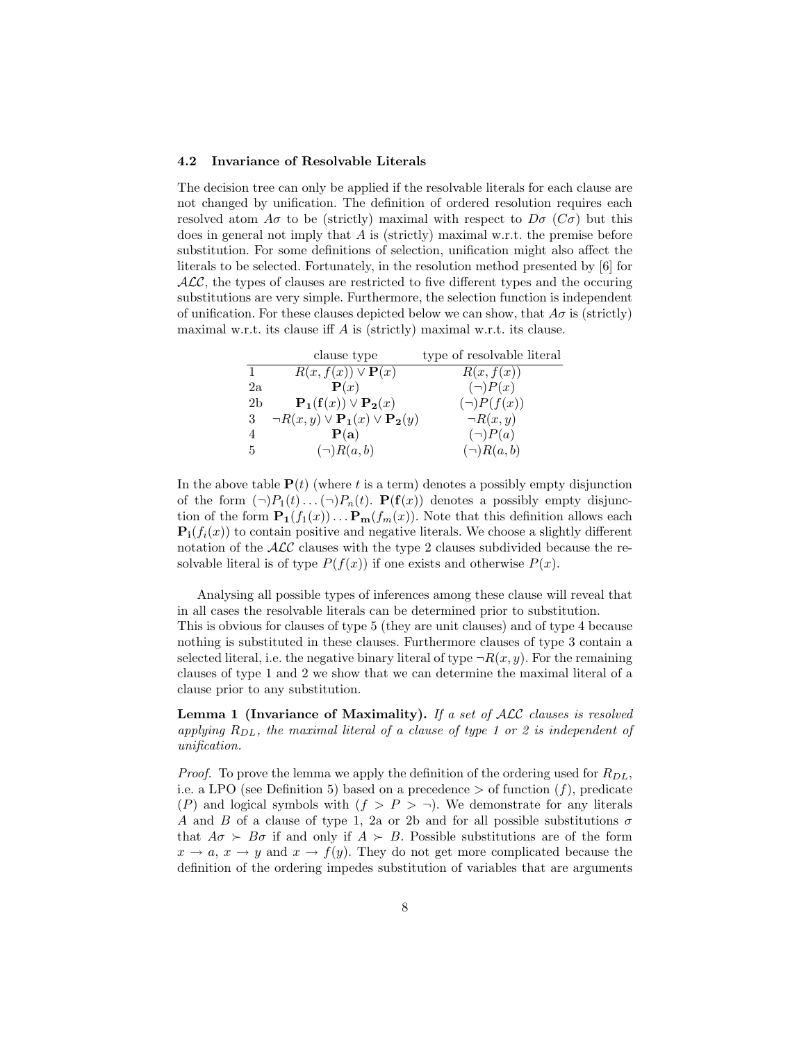#### 4.2 Invariance of Resolvable Literals

The decision tree can only be applied if the resolvable literals for each clause are not changed by unification. The definition of ordered resolution requires each resolved atom  $A\sigma$  to be (strictly) maximal with respect to  $D\sigma$  (C $\sigma$ ) but this does in general not imply that  $A$  is (strictly) maximal w.r.t. the premise before substitution. For some definitions of selection, unification might also affect the literals to be selected. Fortunately, in the resolution method presented by [6] for  $ALC$ , the types of clauses are restricted to five different types and the occuring substitutions are very simple. Furthermore, the selection function is independent of unification. For these clauses depicted below we can show, that  $A\sigma$  is (strictly) maximal w.r.t. its clause iff A is (strictly) maximal w.r.t. its clause.

|                | clause type                                             | type of resolvable literal |
|----------------|---------------------------------------------------------|----------------------------|
| 1.             | $R(x, f(x)) \vee \mathbf{P}(x)$                         | R(x, f(x))                 |
| $2\mathrm{a}$  | $\mathbf{P}(x)$                                         | $(\neg)P(x)$               |
| 2 <sub>b</sub> | $\mathbf{P_1}(f(x)) \vee \mathbf{P_2}(x)$               | $(\neg)P(f(x))$            |
| 3              | $\neg R(x,y) \vee \mathbf{P_1}(x) \vee \mathbf{P_2}(y)$ | $\neg R(x,y)$              |
| 4              | P(a)                                                    | $(\neg)P(a)$               |
| 5              | $(\neg)R(a,b)$                                          | $(\neg)R(a,b)$             |

In the above table  $P(t)$  (where t is a term) denotes a possibly empty disjunction of the form  $(\neg)P_1(t)\dots(\neg)P_n(t)$ .  $\mathbf{P}(\mathbf{f}(x))$  denotes a possibly empty disjunction of the form  $\mathbf{P}_1(f_1(x)) \dots \mathbf{P}_m(f_m(x))$ . Note that this definition allows each  $\mathbf{P_i}(f_i(x))$  to contain positive and negative literals. We choose a slightly different notation of the  $\mathcal{ALC}$  clauses with the type 2 clauses subdivided because the resolvable literal is of type  $P(f(x))$  if one exists and otherwise  $P(x)$ .

Analysing all possible types of inferences among these clause will reveal that in all cases the resolvable literals can be determined prior to substitution. This is obvious for clauses of type 5 (they are unit clauses) and of type 4 because nothing is substituted in these clauses. Furthermore clauses of type 3 contain a selected literal, i.e. the negative binary literal of type  $\neg R(x, y)$ . For the remaining clauses of type 1 and 2 we show that we can determine the maximal literal of a clause prior to any substitution.

Lemma 1 (Invariance of Maximality). If a set of  $\mathcal{ALC}$  clauses is resolved applying  $R_{DL}$ , the maximal literal of a clause of type 1 or 2 is independent of unification.

*Proof.* To prove the lemma we apply the definition of the ordering used for  $R_{DL}$ , i.e. a LPO (see Definition 5) based on a precedence  $>$  of function  $(f)$ , predicate  $(P)$  and logical symbols with  $(f > P > \neg)$ . We demonstrate for any literals A and B of a clause of type 1, 2a or 2b and for all possible substitutions  $\sigma$ that  $A\sigma > B\sigma$  if and only if  $A > B$ . Possible substitutions are of the form  $x \to a$ ,  $x \to y$  and  $x \to f(y)$ . They do not get more complicated because the definition of the ordering impedes substitution of variables that are arguments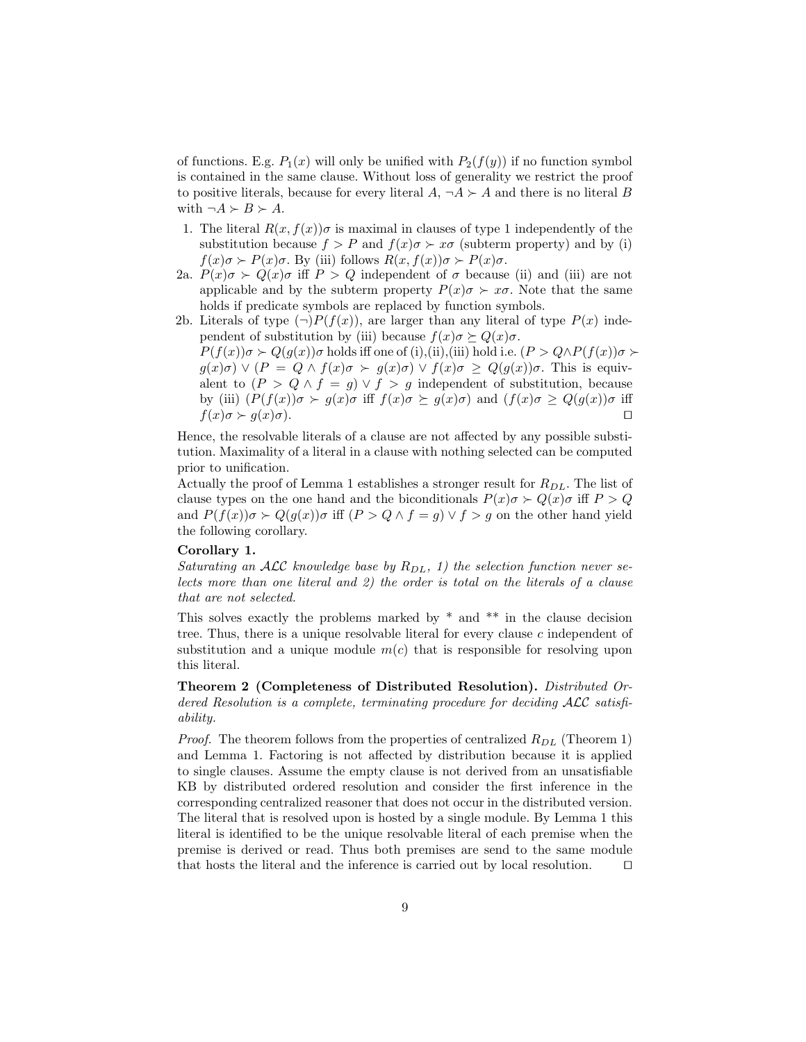of functions. E.g.  $P_1(x)$  will only be unified with  $P_2(f(y))$  if no function symbol is contained in the same clause. Without loss of generality we restrict the proof to positive literals, because for every literal  $A, \neg A \succ A$  and there is no literal B with  $\neg A \succ B \succ A$ .

- 1. The literal  $R(x, f(x))\sigma$  is maximal in clauses of type 1 independently of the substitution because  $f > P$  and  $f(x)\sigma \succ x\sigma$  (subterm property) and by (i)  $f(x)\sigma \succ P(x)\sigma$ . By (iii) follows  $R(x, f(x))\sigma \succ P(x)\sigma$ .
- 2a.  $P(x)\sigma \succ Q(x)\sigma$  iff  $P > Q$  independent of  $\sigma$  because (ii) and (iii) are not applicable and by the subterm property  $P(x)\sigma \succ x\sigma$ . Note that the same holds if predicate symbols are replaced by function symbols.
- 2b. Literals of type  $(\neg)P(f(x))$ , are larger than any literal of type  $P(x)$  independent of substitution by (iii) because  $f(x)\sigma \succeq Q(x)\sigma$ .

 $P(f(x))\sigma \succ Q(g(x))\sigma$  holds iff one of (i),(ii),(iii) hold i.e.  $(P > Q \wedge P(f(x))\sigma \succ$  $g(x)\sigma$ )  $\vee$   $(P = Q \wedge f(x)\sigma \succ g(x)\sigma)$   $\vee$   $f(x)\sigma \ge Q(g(x))\sigma$ . This is equivalent to  $(P > Q \wedge f = g) \vee f > g$  independent of substitution, because by (iii)  $(P(f(x))\sigma \succ g(x)\sigma$  iff  $f(x)\sigma \succeq g(x)\sigma$ ) and  $(f(x)\sigma \geq Q(g(x))\sigma$  iff  $f(x)\sigma \succ q(x)\sigma$ .

Hence, the resolvable literals of a clause are not affected by any possible substitution. Maximality of a literal in a clause with nothing selected can be computed prior to unification.

Actually the proof of Lemma 1 establishes a stronger result for  $R_{DL}$ . The list of clause types on the one hand and the biconditionals  $P(x)\sigma \succ Q(x)\sigma$  iff  $P > Q$ and  $P(f(x))\sigma \succ Q(g(x))\sigma$  iff  $(P > Q \wedge f = g) \vee f > g$  on the other hand yield the following corollary.

## Corollary 1.

Saturating an ALC knowledge base by  $R_{DL}$ , 1) the selection function never selects more than one literal and 2) the order is total on the literals of a clause that are not selected.

This solves exactly the problems marked by \* and \*\* in the clause decision tree. Thus, there is a unique resolvable literal for every clause  $c$  independent of substitution and a unique module  $m(c)$  that is responsible for resolving upon this literal.

Theorem 2 (Completeness of Distributed Resolution). Distributed Ordered Resolution is a complete, terminating procedure for deciding ALC satisfiability.

*Proof.* The theorem follows from the properties of centralized  $R_{DL}$  (Theorem 1) and Lemma 1. Factoring is not affected by distribution because it is applied to single clauses. Assume the empty clause is not derived from an unsatisfiable KB by distributed ordered resolution and consider the first inference in the corresponding centralized reasoner that does not occur in the distributed version. The literal that is resolved upon is hosted by a single module. By Lemma 1 this literal is identified to be the unique resolvable literal of each premise when the premise is derived or read. Thus both premises are send to the same module that hosts the literal and the inference is carried out by local resolution.  $\Box$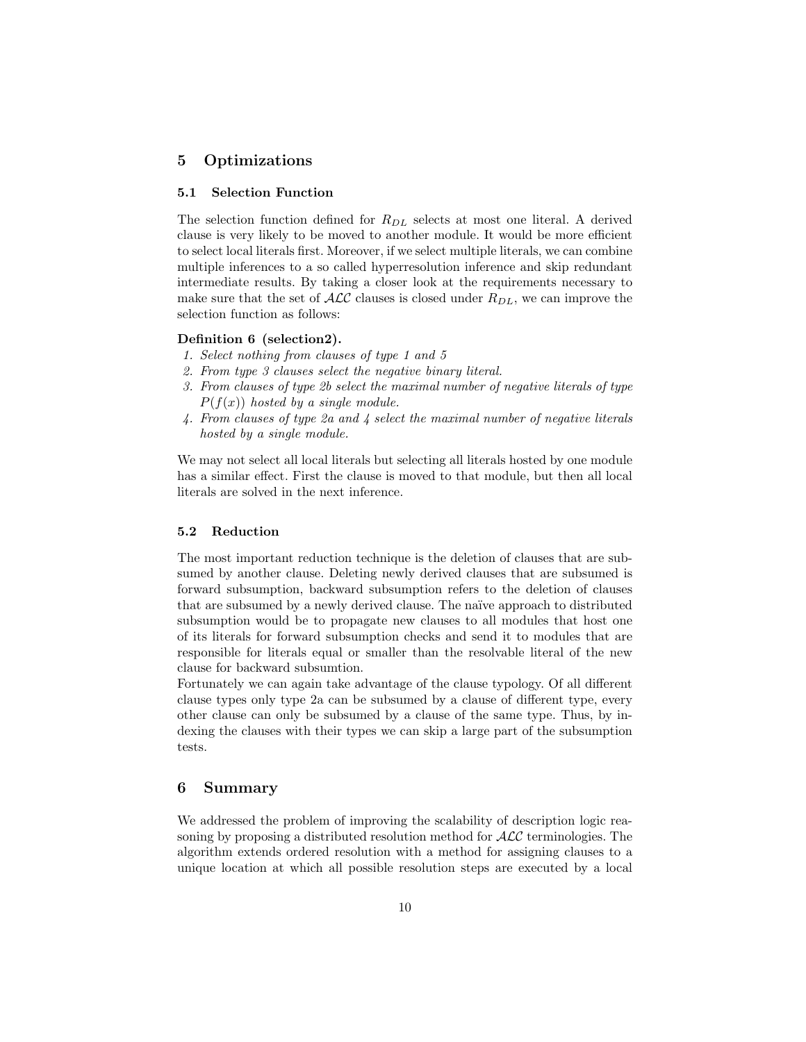# 5 Optimizations

### 5.1 Selection Function

The selection function defined for  $R_{DL}$  selects at most one literal. A derived clause is very likely to be moved to another module. It would be more efficient to select local literals first. Moreover, if we select multiple literals, we can combine multiple inferences to a so called hyperresolution inference and skip redundant intermediate results. By taking a closer look at the requirements necessary to make sure that the set of  $\mathcal{ALC}$  clauses is closed under  $R_{DL}$ , we can improve the selection function as follows:

### Definition 6 (selection2).

- 1. Select nothing from clauses of type 1 and 5
- 2. From type 3 clauses select the negative binary literal.
- 3. From clauses of type 2b select the maximal number of negative literals of type  $P(f(x))$  hosted by a single module.
- 4. From clauses of type 2a and 4 select the maximal number of negative literals hosted by a single module.

We may not select all local literals but selecting all literals hosted by one module has a similar effect. First the clause is moved to that module, but then all local literals are solved in the next inference.

## 5.2 Reduction

The most important reduction technique is the deletion of clauses that are subsumed by another clause. Deleting newly derived clauses that are subsumed is forward subsumption, backward subsumption refers to the deletion of clauses that are subsumed by a newly derived clause. The naïve approach to distributed subsumption would be to propagate new clauses to all modules that host one of its literals for forward subsumption checks and send it to modules that are responsible for literals equal or smaller than the resolvable literal of the new clause for backward subsumtion.

Fortunately we can again take advantage of the clause typology. Of all different clause types only type 2a can be subsumed by a clause of different type, every other clause can only be subsumed by a clause of the same type. Thus, by indexing the clauses with their types we can skip a large part of the subsumption tests.

# 6 Summary

We addressed the problem of improving the scalability of description logic reasoning by proposing a distributed resolution method for  $\mathcal{ALC}$  terminologies. The algorithm extends ordered resolution with a method for assigning clauses to a unique location at which all possible resolution steps are executed by a local